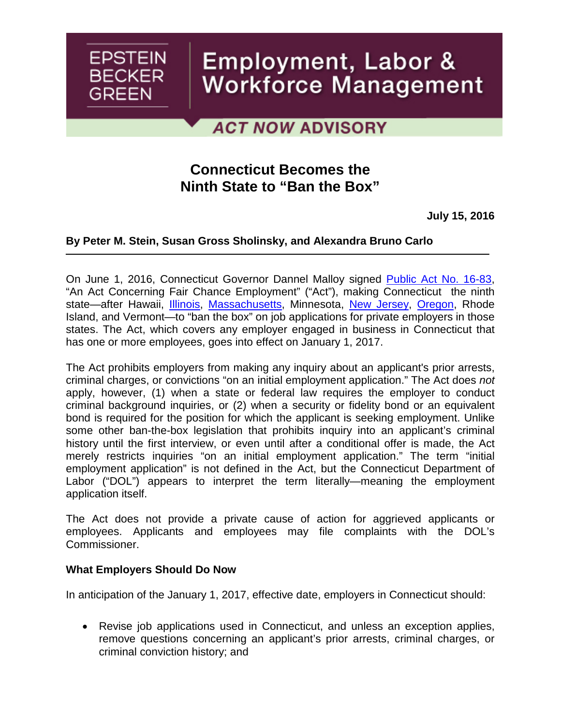# Employment, Labor & **Workforce Management**

## **ACT NOW ADVISORY**

## **Connecticut Becomes the Ninth State to "Ban the Box"**

**July 15, 2016**

### **By [Peter M. Stein,](http://www.ebglaw.com/peter-m-stein/) [Susan Gross Sholinsky,](http://www.ebglaw.com/susan-gross-sholinsky/) and [Alexandra Bruno Carlo](http://www.ebglaw.com/alexandra-bruno-carlo/)**

On June 1, 2016, Connecticut Governor Dannel Malloy signed [Public Act No. 16-83,](https://www.cga.ct.gov/2016/ACT/pa/pdf/2016PA-00083-R00HB-05237-PA.pdf) "An Act Concerning Fair Chance Employment" ("Act"), making Connecticut the ninth state—after Hawaii, *Illinois*, [Massachusetts,](http://www.ebglaw.com/news/act-now-advisory-amendments-to-massachusetts-law-mandate-changes-to-employment-applications-and-the-use-of-criminal-history-information/) Minnesota, [New Jersey,](http://www.ebglaw.com/news/new-jersey-adopts-ban-the-box-regulations/) [Oregon,](http://www.ebglaw.com/news/significant-changes-for-employers-doing-business-in-oregon/) Rhode Island, and Vermont—to "ban the box" on job applications for private employers in those states. The Act, which covers any employer engaged in business in Connecticut that has one or more employees, goes into effect on January 1, 2017.

The Act prohibits employers from making any inquiry about an applicant's prior arrests, criminal charges, or convictions "on an initial employment application." The Act does *not* apply, however, (1) when a state or federal law requires the employer to conduct criminal background inquiries, or (2) when a security or fidelity bond or an equivalent bond is required for the position for which the applicant is seeking employment. Unlike some other ban-the-box legislation that prohibits inquiry into an applicant's criminal history until the first interview, or even until after a conditional offer is made, the Act merely restricts inquiries "on an initial employment application." The term "initial employment application" is not defined in the Act, but the Connecticut Department of Labor ("DOL") appears to interpret the term literally—meaning the employment application itself.

The Act does not provide a private cause of action for aggrieved applicants or employees. Applicants and employees may file complaints with the DOL's Commissioner.

#### **What Employers Should Do Now**

**EPSTEIN** 

**BECKER** 

**GREEN** 

In anticipation of the January 1, 2017, effective date, employers in Connecticut should:

• Revise job applications used in Connecticut, and unless an exception applies, remove questions concerning an applicant's prior arrests, criminal charges, or criminal conviction history; and